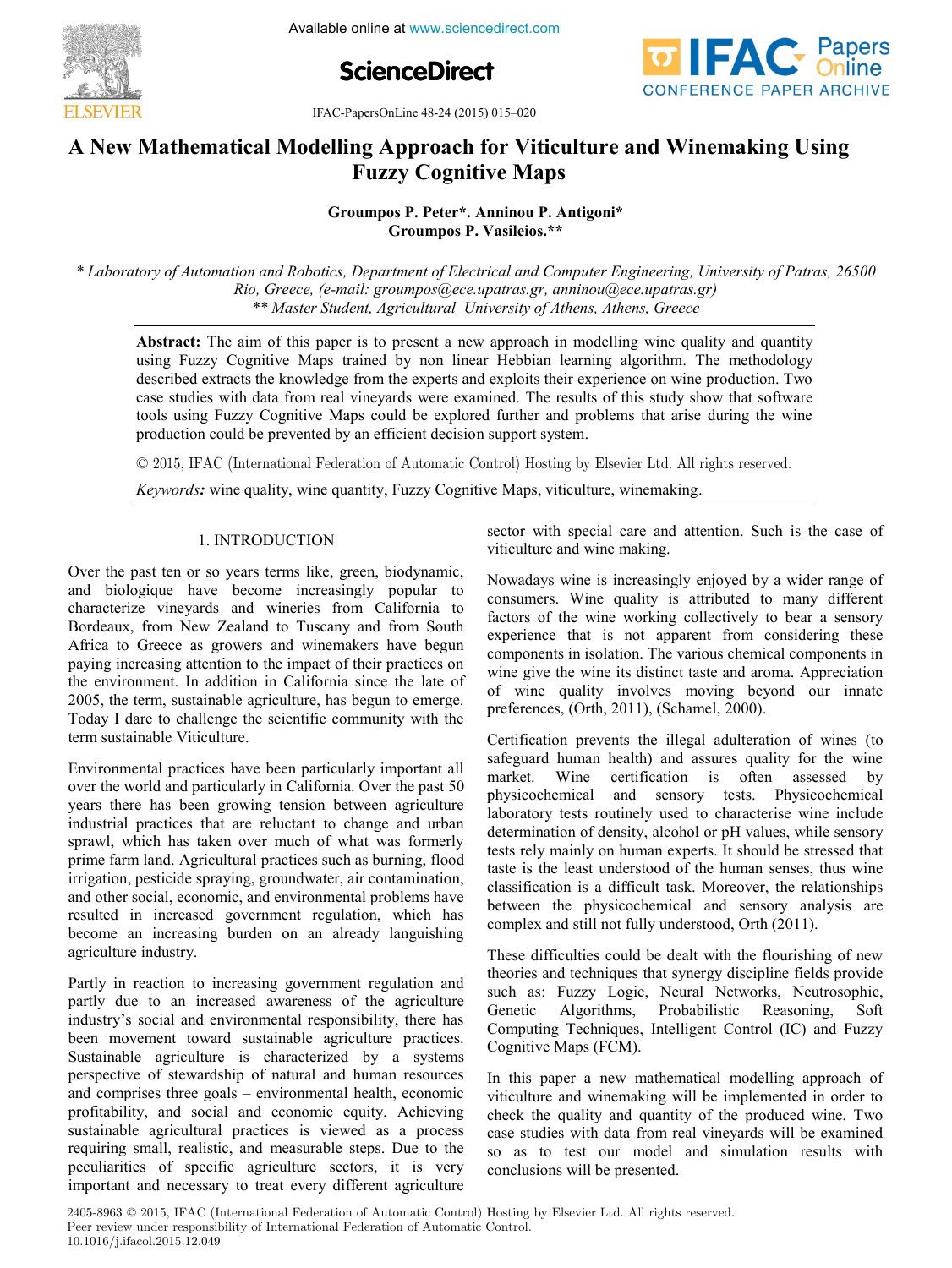

Available online at www.sciencedirect.com





IFAC-PapersOnLine 48-24 (2015) 015–020

## **A New Mathematical Modelling Approach for Viticulture and Winemaking Using A New Mathematical Modelling Approach for Viticulture and Winemaking Using Fuzzy Cognitive Maps Fuzzy Cognitive Maps**

**Groumpos P. Vasileios.\*\* Groumpos P. Peter\*. Anninou P. Antigoni\* Groumpos P. Peter\*. Anninou P. Antigoni\*Groumpos P. Vasileios.\*\* Groumpos P. Peter\*. Anninou P. Antigoni\*** Groumpos **I**. *Vasileios.* 

\* Laboratory of Automation and Robotics, Department of Electrical and Computer Engineering, University of Patras, 26500 Edioratory of Automation and Robottes, Department of Electrical and Computer Engineering, Oniversity of I arius, 20000<br>Rio, Greece, (e-mail: groumpos@ece.upatras.gr, anninou@ece.upatras.gr) *\*\* Master Student, Agricultural University of Athens, Athens, Greece Rio, Greece, (e-mail: groumpos@ece.upatras.gr, anninou@ece.upatras.gr) \*\* Master Student, Agricultural University of Athens, Athens, Greece* 

Abstract: The aim of this paper is to present a new approach in modelling wine quality and quantity using Fuzzy Cognitive Maps trained by non linear Hebbian learning algorithm. The methodology described extracts the knowledge from the experts and exploits their experience on wine production. Two described extracts the knowledge from the experts and exploits then experience on while production. Two<br>case studies with data from real vineyards were examined. The results of this study show that software case studies with data from real vineyards were examined. The results of this study show that software<br>tools using Fuzzy Cognitive Maps could be explored further and problems that arise during the wine production could be prevented by an efficient decision support system. tools using Fuzzy Cognitive Maps could be explored further and problems that arise during the wine production could be prevented by an efficient decision support system.

© 2015, IFAC (International Federation of Automatic Control) Hosting by Elsevier Ltd. All rights reserved. © 2015. IFAC (International Federation of Automatic Control) Hosting by

*Keywords:* wine quality, wine quantity, Fuzzy Cognitive Maps, viticulture, winemaking. *Keywords:* wine quality, wine quantity, Fuzzy Cognitive Maps, viticulture, winemaking.

# 1. INTRODUCTION 1. INTRODUCTION 1. INTRODUCTION

Over the past ten or so years terms like, green, biodynamic, Over the past ten or so years terms like, green, biodynamic, and biologique have become increasingly popular to characterize vineyards and wineries from California to Africa to Greece as growers and winemakers have begun Bordeaux, from New Zealand to Tuscany and from South characterize vineyards and wineries from California to Africa to Greece as growers and winemakers have begun paying increasing attention to the impact of their practices on the environment. In addition in California since the late of the environment. In addition in California since the late of 2005, the term, sustainable agriculture, has begun to emerge. Today I dare to challenge the scientific community with the term sustainable Viticulture. term sustainable Viticulture.  $\frac{1}{2}$  bordeaux, from New Zealand to Tuscany and from South 2005, the term, sustainable agriculture, has begun to emerge. Over the past ten or so years terms like, green, biodynamic,<br>and biologique have become increasingly popular to<br>characterize vineyards and wineries from California to<br>Bordeaux, from New Zealand to Tuscany and from South<br>Af

Environmental practices have been particularly important all  $\frac{1}{100}$ over the world and particularly in California. Over the past 50 over the world and particularly in California. Over the past 50 years there has been growing tension between agriculture industrial practices that are reluctant to change and urban  $\frac{1}{2}$ sprawl, which has taken over much of what was formerly sprawl, which has taken over much of what was formerly<br>prime farm land. Agricultural practices such as burning, flood irrigation, pesticide spraying, groundwater, air contamination, and other social, economic, and environmental problems have and other social, economic, and environmental problems have<br>resulted in increased government regulation, which has become an increasing burden on an already languishing agriculture industry. agriculture industry. years there has been growing tension between agriculture prime farm land. Agricultural practices such as burning, flood Environmental practices have been particularly important all<br>over the world and particularly in California. Over the past 50<br>years there has been growing tension between agriculture<br>industrial practices that are reluctant

 $\mathcal{C}$  in reaction to increasing government regulation and  $\mathcal{C}$ Partly in reaction to increasing government regulation and partly due to an increased awareness of the agriculture has the agriculture partly due to an increased awareness of the agriculture industry's social and environmental responsibility, there has been movement toward sustainable agriculture practices. Sustainable agriculture is characterized by a systems Sustainable agriculture is characterized by a systems<br>perspective of stewardship of natural and human resources and comprises three goals – environmental health, economic  $\epsilon$ profitability, and social and economic equity. Achieving profitability, and social and economic equity. Achieving<br>sustainable agricultural practices is viewed as a process requiring small, realistic, and measurable steps. Due to the peculiarities of specific agriculture sectors, it is very peculiarities of specific agriculture sectors, it is very important and necessary to treat every different agriculture perspective of stewardship of natural and human resources sustainable agricultural practices is viewed as a process important and necessary to treat every different agriculture **Collection of the Copyright Copyright Copyright Copyright Copyright Copyright Copyright Copyright Copyright Copyright Copyright Copyright Copyright Copyright Copyright Copyright Copyright Copyright Copyright Copyright Co** agriculture industry.<br>Partly in reaction to increasing government regulation and<br>partly due to an increased awareness of the agriculture<br>industry's social and environmental responsibility, there has<br>been movement toward su Over the past en or is versel in the conomic steps. The interaction of both and the social and the interaction and the interaction and the interaction and the interaction of the interaction of the interaction of the intera

sector with special care and attention. Such is the case of  $\mathcal{L}$  is increasingly enjoyed by a wider range of  $\mathcal{L}$ viticulture and wine making. viticulture and wine making.

Nowadays wine is increasingly enjoyed by a wider range of rowadays wine is increasingly enjoyed by a wider range of consumers. Wine quality is attributed to many different factors of the wine working collectively to bear a sensory ractors of the wine working conectively to bear a sensory experience that is not apparent from considering these components in isolation. The various chemical components in wine give the wine its distinct taste and aroma. Appreciation wine give the wine its distinct taste and aroma. Appreciation<br>of wine quality involves moving beyond our innate  $\mathbf{C}$  and illegal adulteration of wines (to wind wines (to wines (to wines (to wines (to wines (to wines (to wines (to wines and the set of wines of wines  $\mathbf{C}$ ) and the set of wines (to wines and the set of wines o preferences, (Orth, 2011), (Schamel, 2000). preferences, (Orth, 2011), (Schamel, 2000). consumers. Which quality is attributed to many different experience that is not apparent from considering these of whic quality involves moving beyond our innate viticulture and wine making.<br>Nowadays wine is increasingly enjoyed by a wider range of<br>consumers. Wine quality is attributed to many different<br>factors of the wine working collectively to bear a sensory<br>experience that is n

Certification prevents the illegal adulteration of wines (to Lettification prevents the inegal adulteration of wines (to safeguard human health) and assures quality for the wine market. Wine certification is often assessed by market. wine certification is often assessed by<br>physicochemical and sensory tests. Physicochemical laboratory tests routinely used to characterise wine include determination of density, alcohol or pH values, while sensory determination of density, alcohol of pH values, while sensory<br>tests rely mainly on human experts. It should be stressed that tests rely mainly on human experts. It should be stressed that taste is the least understood of the human senses, thus wine classification is a difficult task. Moreover, the relationships classification is a difficult task. Moreover, the relationships<br>between the physicochemical and sensory analysis are  $T$  different behavior could be dealth the flow  $\mathcal{L}$ complex and still not fully understood, Orth (2011). complex and still not fully understood, Orth (2011). safeguard human health) and assures quality for the wine physicochemical and sensory tests. Physicochemical taste is the least understood of the human senses, thus wine between the physicochemical and sensory analysis are preferences, (Orth, 2011), (Schamel, 2000).<br>Certification prevents the illegal adulteration of wines (to<br>safeguard human health) and assures quality for the wine<br>market. Wine certification is often assessed by<br>physicochemi

These difficulties could be dealt with the flourishing of new These difficulties could be dealt with the flourishing of new<br>theories and techniques that synergy discipline fields provide meories and techniques that synergy discipline fields provide<br>such as: Fuzzy Logic, Neural Networks, Neutrosophic, Genetic Algorithms, Probabilistic Reasoning, Soft Genetic Algorithms, Probabilistic Reasoning, Soft<br>Computing Techniques, Intelligent Control (IC) and Fuzzy  $\mathcal{O}$  and  $\mathcal{O}$  approach of  $\mathcal{O}$ Cognitive Maps (FCM). Cognitive Maps (FCM). such as:  $\Gamma$ uzzy Logic, Neural Networks, Neutrosophic, These difficulties could be dealt with the flourishing of new<br>theories and techniques that synergy discipline fields provide<br>such as: Fuzzy Logic, Neural Networks, Neutrosophic,<br>Genetic Algorithms, Probabilistic Reasoning,

In this paper a new mathematical modelling approach of In this paper a new mathematical modelling approach of viticulture and winemaking will be implemented in order to check the quality and quantity of the produced wine. Two check the quality and quantity of the produced wine. case studies with data from real vineyards will be examined case studies with data from real vineyards will be examined<br>so as to test our model and simulation results with conclusions will be presented. conclusions will be presented. viticulture and winemaking will be implemented in order to so as to test our model and simulation results with In this paper a new mathematical modelling approach of viticulture and winemaking will be implemented in order to check the quality and quantity of the produced wine. Two case studies with data from real vineyards will be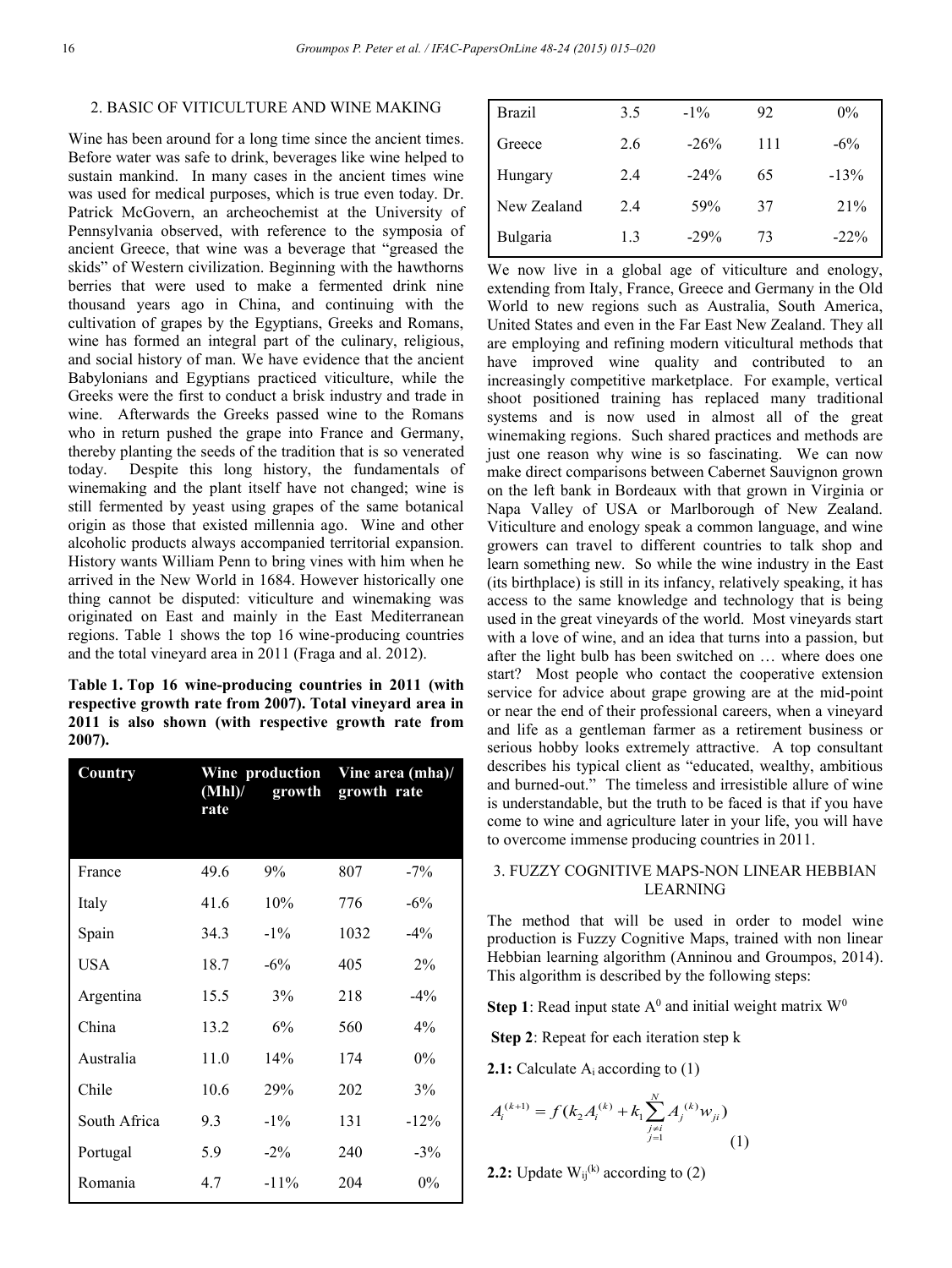### 2. BASIC OF VITICULTURE AND WINE MAKING

Wine has been around for a long time since the ancient times. Before water was safe to drink, beverages like wine helped to sustain mankind. In many cases in the ancient times wine was used for medical purposes, which is true even today. Dr. Patrick McGovern, an archeochemist at the University of Pennsylvania observed, with reference to the symposia of ancient Greece, that wine was a beverage that "greased the skids" of Western civilization. Beginning with the hawthorns berries that were used to make a fermented drink nine thousand years ago in China, and continuing with the cultivation of grapes by the Egyptians, Greeks and Romans, wine has formed an integral part of the culinary, religious, and social history of man. We have evidence that the ancient Babylonians and Egyptians practiced viticulture, while the Greeks were the first to conduct a brisk industry and trade in wine. Afterwards the Greeks passed wine to the Romans who in return pushed the grape into France and Germany, thereby planting the seeds of the tradition that is so venerated today. Despite this long history, the fundamentals of winemaking and the plant itself have not changed; wine is still fermented by yeast using grapes of the same botanical origin as those that existed millennia ago. Wine and other alcoholic products always accompanied territorial expansion. History wants William Penn to bring vines with him when he arrived in the New World in 1684. However historically one thing cannot be disputed: viticulture and winemaking was originated on East and mainly in the East Mediterranean regions. Table 1 shows the top 16 wine-producing countries and the total vineyard area in 2011 (Fraga and al. 2012).

**Table 1. Top 16 wine-producing countries in 2011 (with respective growth rate from 2007). Total vineyard area in 2011 is also shown (with respective growth rate from 2007).** 

| Country      | Wine production<br>(Mhl)'<br>growth<br>rate |         | Vine area (mha)/<br>growth rate |        |  |  |
|--------------|---------------------------------------------|---------|---------------------------------|--------|--|--|
|              |                                             |         |                                 |        |  |  |
| France       | 49.6                                        | 9%      | 807                             | $-7\%$ |  |  |
| Italy        | 41.6                                        | 10%     | 776                             | $-6%$  |  |  |
| Spain        | 34.3                                        | $-1\%$  | 1032                            | $-4\%$ |  |  |
| USA          | 18.7                                        | $-6\%$  | 405                             | $2\%$  |  |  |
| Argentina    | 15.5                                        | 3%      | 218                             | $-4\%$ |  |  |
| China        | 13.2                                        | 6%      | 560                             | $4\%$  |  |  |
| Australia    | 11.0                                        | 14%     | 174                             | $0\%$  |  |  |
| Chile        | 10.6                                        | 29%     | 202                             | 3%     |  |  |
| South Africa | 9.3                                         | $-1\%$  | 131                             | $-12%$ |  |  |
| Portugal     | 5.9                                         | $-2\%$  | 240                             | $-3\%$ |  |  |
| Romania      | 4.7                                         | $-11\%$ | 204                             | $0\%$  |  |  |

| <b>Brazil</b> | 3.5 | $-1\%$ | 92  | $0\%$   |
|---------------|-----|--------|-----|---------|
| Greece        | 2.6 | $-26%$ | 111 | $-6\%$  |
| Hungary       | 2.4 | $-24%$ | 65  | $-13%$  |
| New Zealand   | 2.4 | 59%    | 37  | 21%     |
| Bulgaria      | 1.3 | $-29%$ | 73  | $-22\%$ |
|               |     |        |     |         |

We now live in a global age of viticulture and enology, extending from Italy, France, Greece and Germany in the Old World to new regions such as Australia, South America, United States and even in the Far East New Zealand. They all are employing and refining modern viticultural methods that have improved wine quality and contributed to an increasingly competitive marketplace. For example, vertical shoot positioned training has replaced many traditional systems and is now used in almost all of the great winemaking regions. Such shared practices and methods are just one reason why wine is so fascinating. We can now make direct comparisons between Cabernet Sauvignon grown on the left bank in Bordeaux with that grown in Virginia or Napa Valley of USA or Marlborough of New Zealand. Viticulture and enology speak a common language, and wine growers can travel to different countries to talk shop and learn something new. So while the wine industry in the East (its birthplace) is still in its infancy, relatively speaking, it has access to the same knowledge and technology that is being used in the great vineyards of the world. Most vineyards start with a love of wine, and an idea that turns into a passion, but after the light bulb has been switched on … where does one start? Most people who contact the cooperative extension service for advice about grape growing are at the mid-point or near the end of their professional careers, when a vineyard and life as a gentleman farmer as a retirement business or serious hobby looks extremely attractive. A top consultant describes his typical client as "educated, wealthy, ambitious and burned-out." The timeless and irresistible allure of wine is understandable, but the truth to be faced is that if you have come to wine and agriculture later in your life, you will have to overcome immense producing countries in 2011.

## 3. FUZZY COGNITIVE MAPS-NON LINEAR HEBBIAN LEARNING

The method that will be used in order to model wine production is Fuzzy Cognitive Maps, trained with non linear Hebbian learning algorithm (Anninou and Groumpos, 2014). This algorithm is described by the following steps:

**Step 1**: Read input state  $A^0$  and initial weight matrix  $W^0$ 

**Step 2**: Repeat for each iteration step k

**2.1:** Calculate A<sub>i</sub> according to (1)

$$
A_i^{(k+1)} = f(k_2 A_i^{(k)} + k_1 \sum_{\substack{j \neq i \\ j=1}}^N A_j^{(k)} w_{ji})
$$
 (1)

**2.2:** Update  $W_{ii}^{(k)}$  according to (2)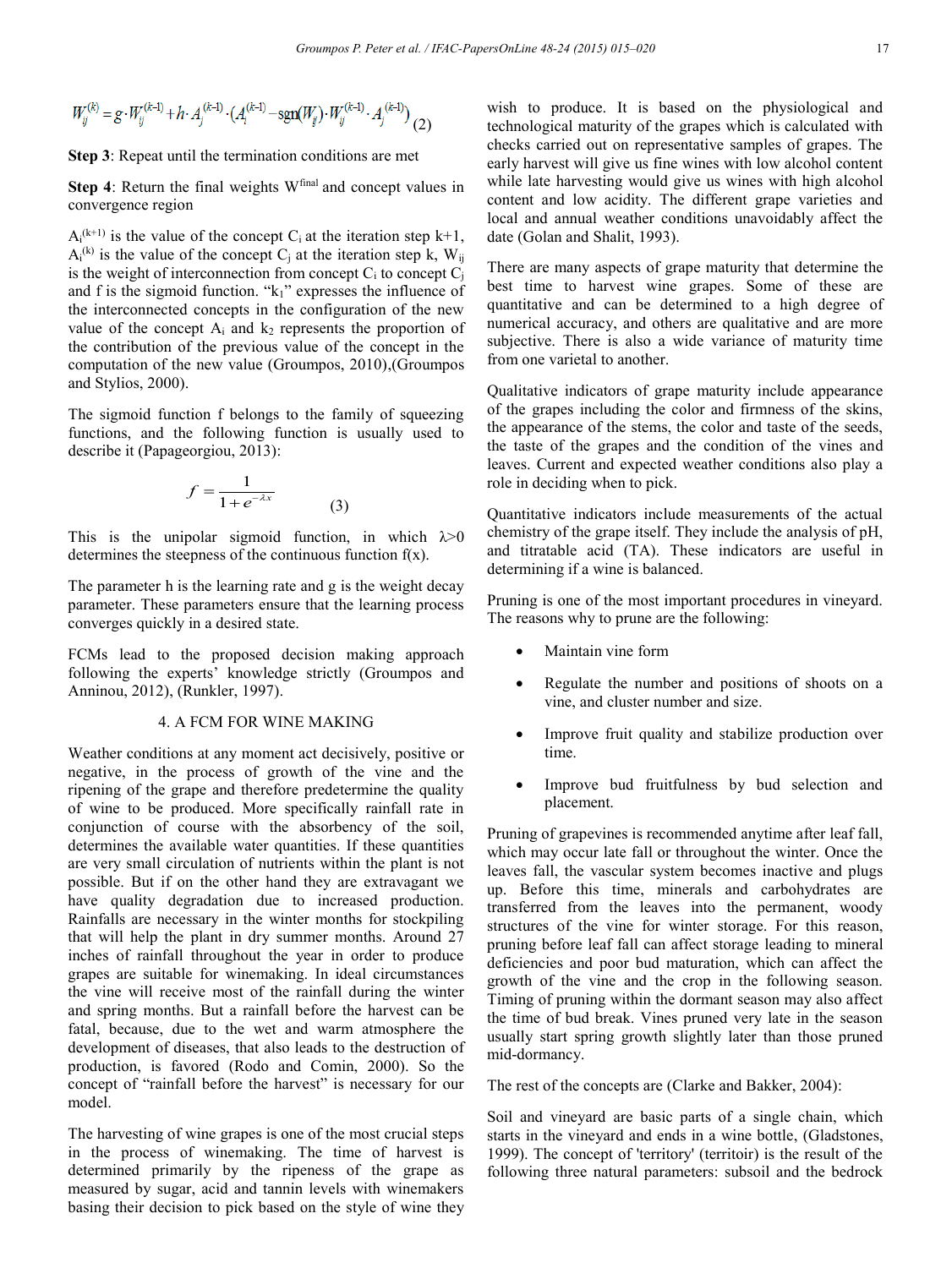$$
W_{ij}^{(k)} = g \cdot W_{ij}^{(k-1)} + h \cdot A_j^{(k-1)} \cdot (A_i^{(k-1)} - \text{sgn}(W_{ij}) \cdot W_{ij}^{(k-1)} \cdot A_j^{(k-1)}) \tag{2}
$$

**Step 3**: Repeat until the termination conditions are met

**Step 4**: Return the final weights W<sup>final</sup> and concept values in convergence region

 $A_i^{(k+1)}$  is the value of the concept  $C_i$  at the iteration step  $k+1$ ,  $A_i^{(k)}$  is the value of the concept C<sub>j</sub> at the iteration step k,  $W_{ij}$ is the weight of interconnection from concept  $C_i$  to concept  $C_i$ and f is the sigmoid function. "k<sub>1</sub>" expresses the influence of the interconnected concepts in the configuration of the new value of the concept  $A_i$  and  $k_2$  represents the proportion of the contribution of the previous value of the concept in the computation of the new value (Groumpos, 2010),(Groumpos and Stylios, 2000).

The sigmoid function f belongs to the family of squeezing functions, and the following function is usually used to describe it (Papageorgiou, 2013):

$$
f = \frac{1}{1 + e^{-\lambda x}}\tag{3}
$$

This is the unipolar sigmoid function, in which  $\lambda > 0$ determines the steepness of the continuous function  $f(x)$ .

The parameter h is the learning rate and g is the weight decay parameter. These parameters ensure that the learning process converges quickly in a desired state.

FCMs lead to the proposed decision making approach following the experts' knowledge strictly (Groumpos and Anninou, 2012), (Runkler, 1997).

#### 4. A FCM FOR WINE MAKING

Weather conditions at any moment act decisively, positive or negative, in the process of growth of the vine and the ripening of the grape and therefore predetermine the quality of wine to be produced. More specifically rainfall rate in conjunction of course with the absorbency of the soil, determines the available water quantities. If these quantities are very small circulation of nutrients within the plant is not possible. But if on the other hand they are extravagant we have quality degradation due to increased production. Rainfalls are necessary in the winter months for stockpiling that will help the plant in dry summer months. Around 27 inches of rainfall throughout the year in order to produce grapes are suitable for winemaking. In ideal circumstances the vine will receive most of the rainfall during the winter and spring months. But a rainfall before the harvest can be fatal, because, due to the wet and warm atmosphere the development of diseases, that also leads to the destruction of production, is favored (Rodo and Comin, 2000). So the concept of "rainfall before the harvest" is necessary for our model.

The harvesting of wine grapes is one of the most crucial steps in the process of winemaking. The time of harvest is determined primarily by the ripeness of the grape as measured by sugar, acid and tannin levels with winemakers basing their decision to pick based on the style of wine they wish to produce. It is based on the physiological and technological maturity of the grapes which is calculated with checks carried out on representative samples of grapes. The early harvest will give us fine wines with low alcohol content while late harvesting would give us wines with high alcohol content and low acidity. The different grape varieties and local and annual weather conditions unavoidably affect the date (Golan and Shalit, 1993).

There are many aspects of grape maturity that determine the best time to harvest wine grapes. Some of these are quantitative and can be determined to a high degree of numerical accuracy, and others are qualitative and are more subjective. There is also a wide variance of maturity time from one varietal to another.

Qualitative indicators of grape maturity include appearance of the grapes including the color and firmness of the skins, the appearance of the stems, the color and taste of the seeds, the taste of the grapes and the condition of the vines and leaves. Current and expected weather conditions also play a role in deciding when to pick.

Quantitative indicators include measurements of the actual chemistry of the grape itself. They include the analysis of pH, and titratable acid (TA). These indicators are useful in determining if a wine is balanced.

Pruning is one of the most important procedures in vineyard. The reasons why to prune are the following:

- Maintain vine form
- Regulate the number and positions of shoots on a vine, and cluster number and size.
- Improve fruit quality and stabilize production over time.
- Improve bud fruitfulness by bud selection and placement.

Pruning of grapevines is recommended anytime after leaf fall, which may occur late fall or throughout the winter. Once the leaves fall, the vascular system becomes inactive and plugs up. Before this time, minerals and carbohydrates are transferred from the leaves into the permanent, woody structures of the vine for winter storage. For this reason, pruning before leaf fall can affect storage leading to mineral deficiencies and poor bud maturation, which can affect the growth of the vine and the crop in the following season. Timing of pruning within the dormant season may also affect the time of bud break. Vines pruned very late in the season usually start spring growth slightly later than those pruned mid-dormancy.

The rest of the concepts are (Clarke and Bakker, 2004):

Soil and vineyard are basic parts of a single chain, which starts in the vineyard and ends in a wine bottle, (Gladstones, 1999). The concept of 'territory' (territoir) is the result of the following three natural parameters: subsoil and the bedrock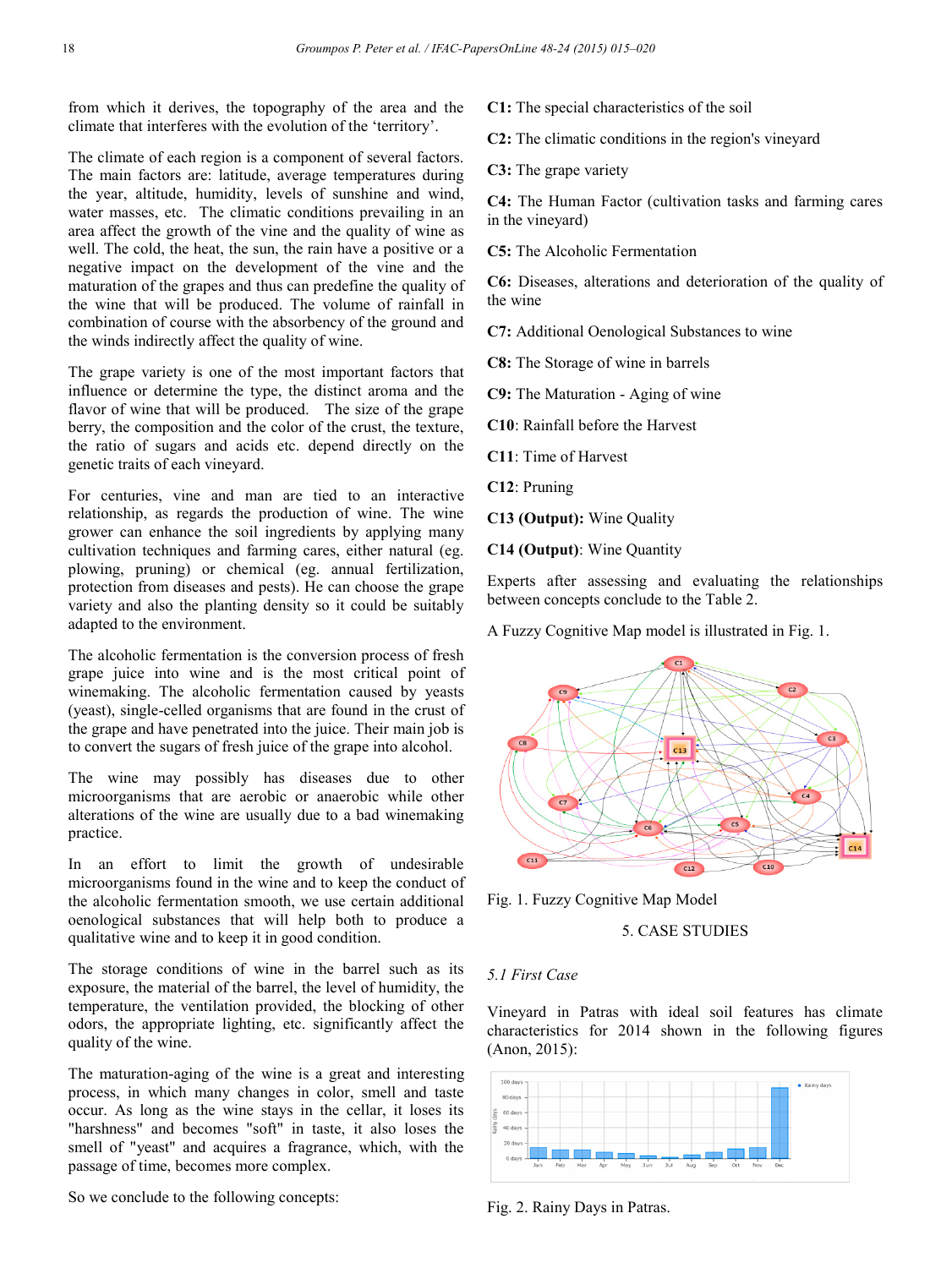from which it derives, the topography of the area and the climate that interferes with the evolution of the 'territory'.

The climate of each region is a component of several factors. The main factors are: latitude, average temperatures during the year, altitude, humidity, levels of sunshine and wind, water masses, etc. The climatic conditions prevailing in an area affect the growth of the vine and the quality of wine as well. The cold, the heat, the sun, the rain have a positive or a negative impact on the development of the vine and the maturation of the grapes and thus can predefine the quality of the wine that will be produced. The volume of rainfall in combination of course with the absorbency of the ground and the winds indirectly affect the quality of wine.

The grape variety is one of the most important factors that influence or determine the type, the distinct aroma and the flavor of wine that will be produced. The size of the grape berry, the composition and the color of the crust, the texture, the ratio of sugars and acids etc. depend directly on the genetic traits of each vineyard.

For centuries, vine and man are tied to an interactive relationship, as regards the production of wine. The wine grower can enhance the soil ingredients by applying many cultivation techniques and farming cares, either natural (eg. plowing, pruning) or chemical (eg. annual fertilization, protection from diseases and pests). He can choose the grape variety and also the planting density so it could be suitably adapted to the environment.

The alcoholic fermentation is the conversion process of fresh grape juice into wine and is the most critical point of winemaking. The alcoholic fermentation caused by yeasts (yeast), single-celled organisms that are found in the crust of the grape and have penetrated into the juice. Their main job is to convert the sugars of fresh juice of the grape into alcohol.

The wine may possibly has diseases due to other microorganisms that are aerobic or anaerobic while other alterations of the wine are usually due to a bad winemaking practice.

In an effort to limit the growth of undesirable microorganisms found in the wine and to keep the conduct of the alcoholic fermentation smooth, we use certain additional oenological substances that will help both to produce a qualitative wine and to keep it in good condition.

The storage conditions of wine in the barrel such as its exposure, the material of the barrel, the level of humidity, the temperature, the ventilation provided, the blocking of other odors, the appropriate lighting, etc. significantly affect the quality of the wine.

The maturation-aging of the wine is a great and interesting process, in which many changes in color, smell and taste occur. As long as the wine stays in the cellar, it loses its "harshness" and becomes "soft" in taste, it also loses the smell of "yeast" and acquires a fragrance, which, with the passage of time, becomes more complex.

So we conclude to the following concepts:

**C1:** The special characteristics of the soil

**C2:** The climatic conditions in the region's vineyard

**C3:** The grape variety

**C4:** The Human Factor (cultivation tasks and farming cares in the vineyard)

**C5:** The Alcoholic Fermentation

**C6:** Diseases, alterations and deterioration of the quality of the wine

**C7:** Additional Oenological Substances to wine

**C8:** The Storage of wine in barrels

**C9:** The Maturation - Aging of wine

**C10**: Rainfall before the Harvest

**C11**: Time of Harvest

**C12**: Pruning

**C13 (Output):** Wine Quality

**C14 (Output)**: Wine Quantity

Experts after assessing and evaluating the relationships between concepts conclude to the Table 2.

A Fuzzy Cognitive Map model is illustrated in Fig. 1.



Fig. 1. Fuzzy Cognitive Map Model

5. CASE STUDIES

#### *5.1 First Case*

Vineyard in Patras with ideal soil features has climate characteristics for 2014 shown in the following figures (Anon, 2015):



Fig. 2. Rainy Days in Patras.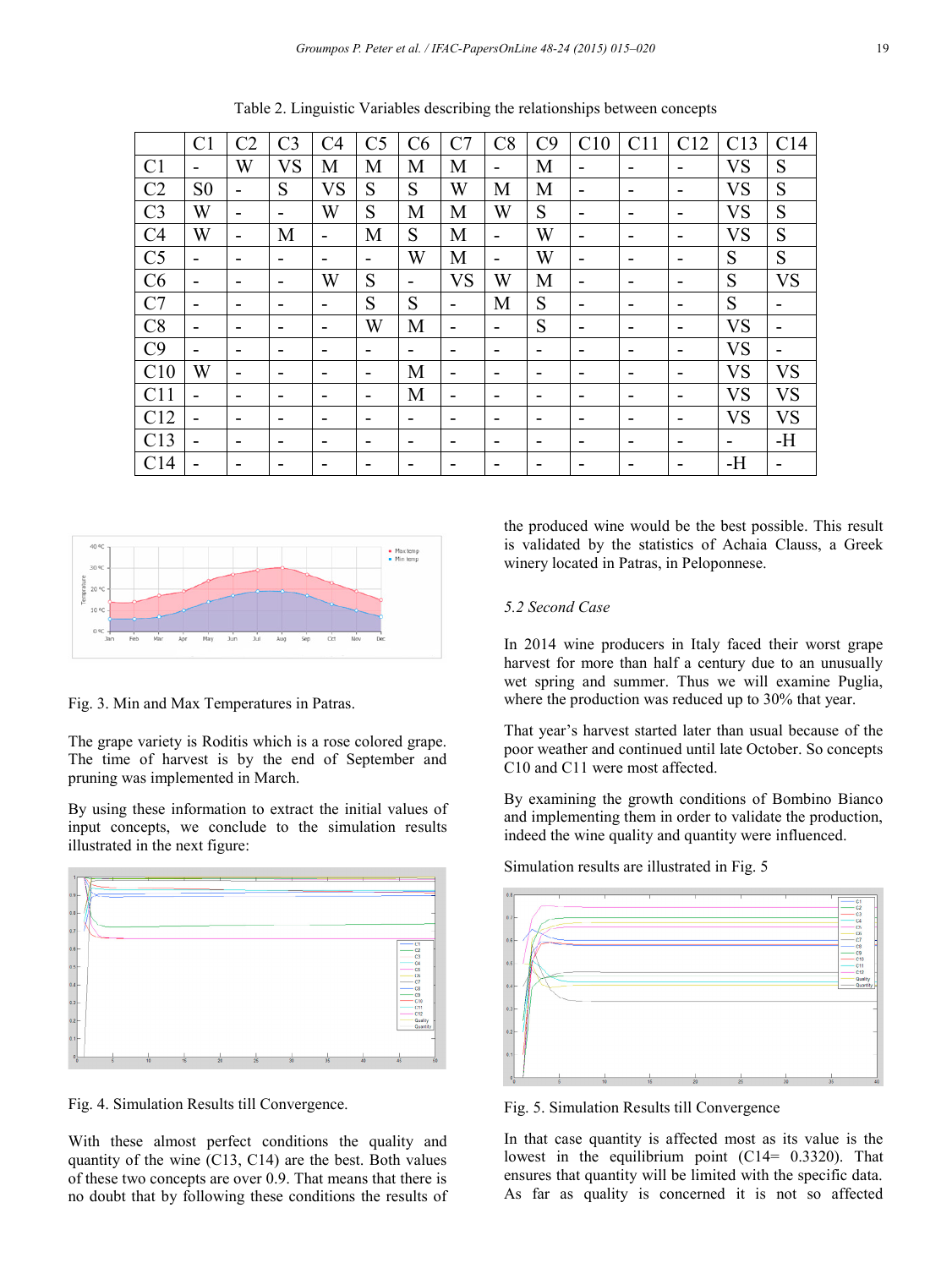|                | C <sub>1</sub> | C <sub>2</sub>           | C <sub>3</sub> | C <sub>4</sub>           | C <sub>5</sub> | C6 | C7                       | C8   | C9 | C10 | C11                      | C12 | C13            | C <sub>14</sub> |
|----------------|----------------|--------------------------|----------------|--------------------------|----------------|----|--------------------------|------|----|-----|--------------------------|-----|----------------|-----------------|
| C <sub>1</sub> | -              | W                        | <b>VS</b>      | M                        | M              | M  | M                        | -    | M  | -   | $\overline{\phantom{a}}$ | -   | <b>VS</b>      | S               |
| C <sub>2</sub> | S <sub>0</sub> | $\overline{\phantom{0}}$ | S              | <b>VS</b>                | S              | S  | W                        | M    | M  |     | $\overline{\phantom{0}}$ |     | <b>VS</b>      | S               |
| C <sub>3</sub> | W              | $\overline{\phantom{0}}$ | -              | W                        | S              | M  | M                        | W    | S  | -   | $\overline{\phantom{0}}$ | -   | <b>VS</b>      | S               |
| C <sub>4</sub> | W              | $\overline{\phantom{0}}$ | M              |                          | M              | S  | M                        | ۰    | W  | -   | $\overline{\phantom{0}}$ | -   | VS             | S               |
| C <sub>5</sub> | -              | -                        | -              | $\overline{\phantom{a}}$ | -              | W  | M                        | -    | W  | -   | $\overline{\phantom{0}}$ | -   | S              | S               |
| C6             |                | -                        | -              | W                        | S              | -  | <b>VS</b>                | W    | M  | -   | $\overline{\phantom{0}}$ | -   | S              | <b>VS</b>       |
| C7             | -              | -                        | -              | $\overline{\phantom{0}}$ | S              | S  | $\overline{\phantom{0}}$ | M    | S  | -   | $\overline{\phantom{0}}$ | -   | S              |                 |
| C8             |                | -                        | -              | $\overline{\phantom{0}}$ | W              | M  |                          | $\,$ | S  | -   | $\overline{\phantom{0}}$ | -   | <b>VS</b>      |                 |
| C9             | -              | -                        |                | -                        | -              | -  |                          |      | -  |     | $\overline{\phantom{0}}$ |     | <b>VS</b>      |                 |
| C10            | W              | -                        |                |                          | -              | M  |                          |      |    |     | -                        |     | <b>VS</b>      | <b>VS</b>       |
| C11            |                | $\overline{\phantom{0}}$ |                |                          | -              | M  |                          |      |    |     | $\overline{\phantom{0}}$ |     | VS             | <b>VS</b>       |
| C12            |                | -                        | -              |                          |                | -  | -                        |      | -  |     | $\overline{\phantom{0}}$ |     | <b>VS</b>      | <b>VS</b>       |
| C13            |                | -                        | -              |                          | -              | -  |                          | -    | -  |     | $\overline{\phantom{0}}$ |     | $\blacksquare$ | $-H$            |
| C14            |                |                          |                |                          |                |    |                          |      |    |     | -                        |     | $-H$           |                 |

Table 2. Linguistic Variables describing the relationships between concepts



Fig. 3. Min and Max Temperatures in Patras.

The grape variety is Roditis which is a rose colored grape. The time of harvest is by the end of September and pruning was implemented in March.

By using these information to extract the initial values of input concepts, we conclude to the simulation results illustrated in the next figure:



Fig. 4. Simulation Results till Convergence.

With these almost perfect conditions the quality and quantity of the wine (C13, C14) are the best. Both values of these two concepts are over 0.9. That means that there is no doubt that by following these conditions the results of the produced wine would be the best possible. This result is validated by the statistics of Achaia Clauss, a Greek winery located in Patras, in Peloponnese.

#### *5.2 Second Case*

In 2014 wine producers in Italy faced their worst grape harvest for more than half a century due to an unusually wet spring and summer. Thus we will examine Puglia, where the production was reduced up to 30% that year.

That year's harvest started later than usual because of the poor weather and continued until late October. So concepts C10 and C11 were most affected.

By examining the growth conditions of Bombino Bianco and implementing them in order to validate the production, indeed the wine quality and quantity were influenced.



Simulation results are illustrated in Fig. 5

Fig. 5. Simulation Results till Convergence

In that case quantity is affected most as its value is the lowest in the equilibrium point  $(C14= 0.3320)$ . That ensures that quantity will be limited with the specific data. As far as quality is concerned it is not so affected